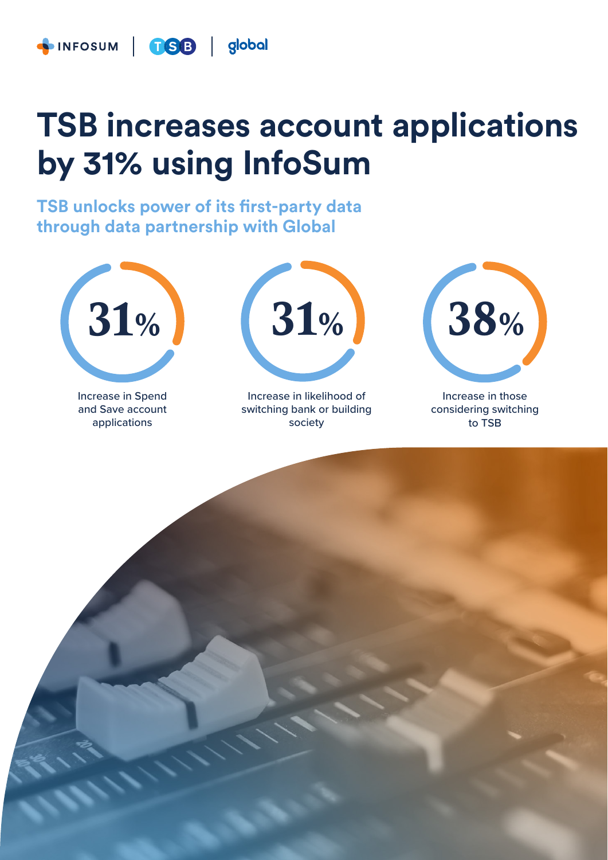

### **TSB increases account applications by 31% using InfoSum**

**TSB unlocks power of its first-party data through data partnership with Global**



Increase in Spend and Save account applications



Increase in likelihood of switching bank or building society



Increase in those considering switching to TSB

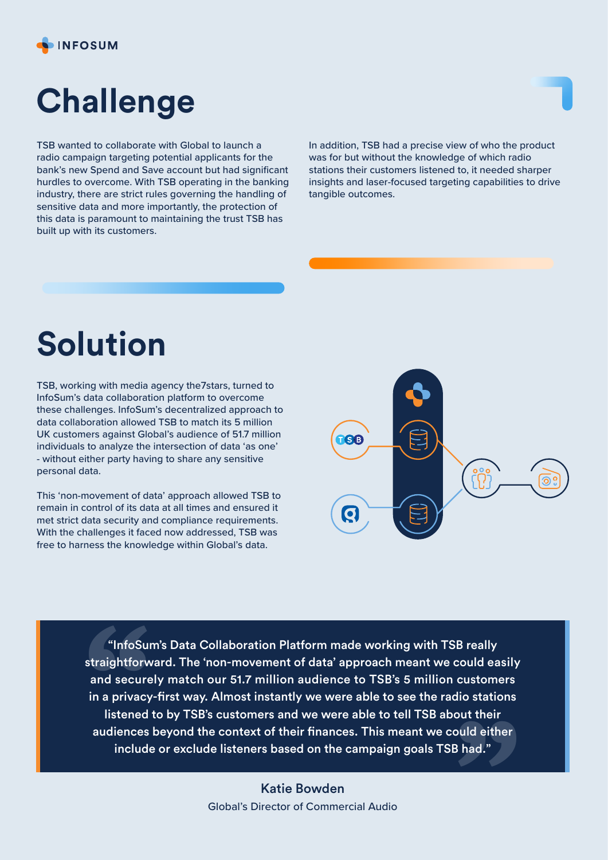

# **Challenge**

TSB wanted to collaborate with Global to launch a radio campaign targeting potential applicants for the bank's new Spend and Save account but had significant hurdles to overcome. With TSB operating in the banking industry, there are strict rules governing the handling of sensitive data and more importantly, the protection of this data is paramount to maintaining the trust TSB has built up with its customers.

In addition, TSB had a precise view of who the product was for but without the knowledge of which radio stations their customers listened to, it needed sharper insights and laser-focused targeting capabilities to drive tangible outcomes.

## **Solution**

TSB, working with media agency the7stars, turned to InfoSum's data collaboration platform to overcome these challenges. InfoSum's decentralized approach to data collaboration allowed TSB to match its 5 million UK customers against Global's audience of 51.7 million individuals to analyze the intersection of data 'as one' - without either party having to share any sensitive personal data.

This 'non-movement of data' approach allowed TSB to remain in control of its data at all times and ensured it met strict data security and compliance requirements. With the challenges it faced now addressed, TSB was free to harness the knowledge within Global's data.



"InfoSum's Data Collaboration Platform made working with TSB really straightforward. The 'non-movement of data' approach meant we could easily and securely match our 51.7 million audience to TSB's 5 million customers in a privacy-first way. Almost instantly we were able to see the radio stations listened to by TSB's customers and we were able to tell TSB about their audiences beyond the context of their finances. This meant we could either "InfoSu<br>straightforv<br>and secure<br>in a privacy<br>listened<br>audiences<br>includ include or exclude listeners based on the campaign goals TSB had." **"**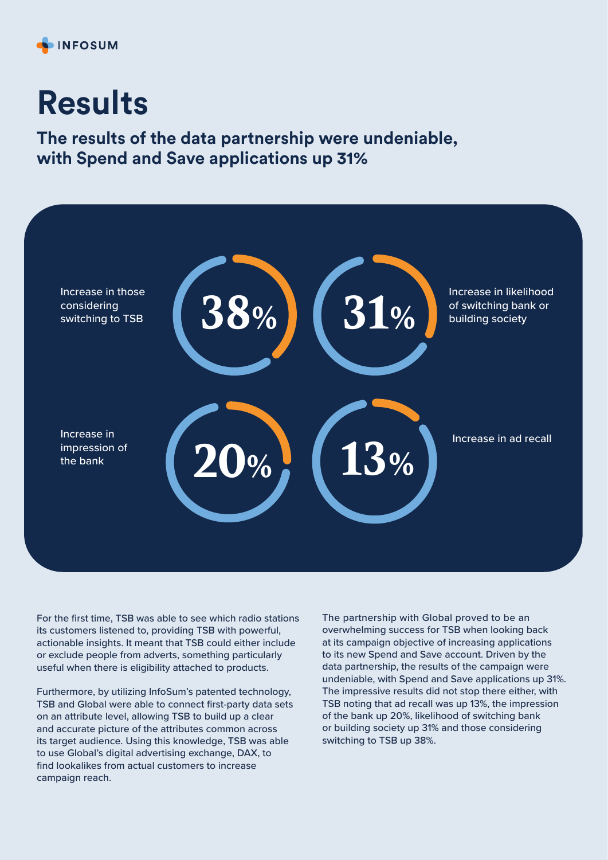

### **Results**

**The results of the data partnership were undeniable, with Spend and Save applications up 31%**



For the first time, TSB was able to see which radio stations its customers listened to, providing TSB with powerful, actionable insights. It meant that TSB could either include or exclude people from adverts, something particularly useful when there is eligibility attached to products.

Furthermore, by utilizing InfoSum's patented technology, TSB and Global were able to connect first-party data sets on an attribute level, allowing TSB to build up a clear and accurate picture of the attributes common across its target audience. Using this knowledge, TSB was able to use Global's digital advertising exchange, DAX, to find lookalikes from actual customers to increase campaign reach.

The partnership with Global proved to be an overwhelming success for TSB when looking back at its campaign objective of increasing applications to its new Spend and Save account. Driven by the data partnership, the results of the campaign were undeniable, with Spend and Save applications up 31%. The impressive results did not stop there either, with TSB noting that ad recall was up 13%, the impression of the bank up 20%, likelihood of switching bank or building society up 31% and those considering switching to TSB up 38%.